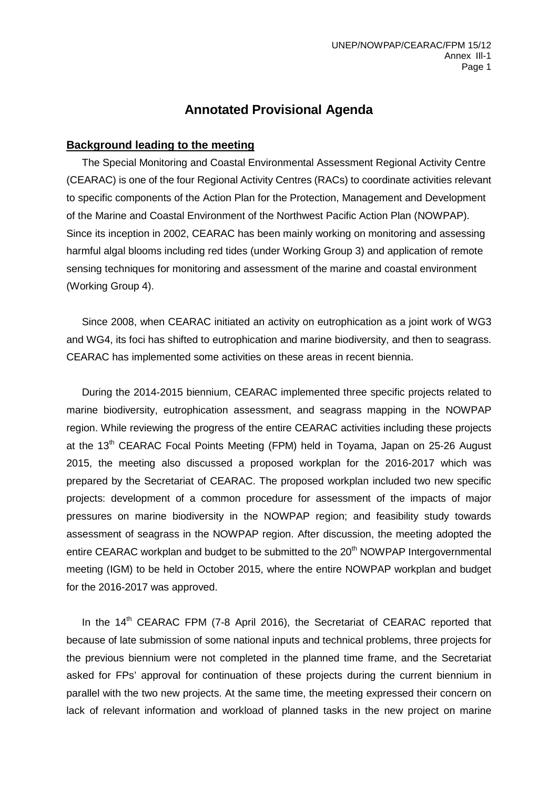## **Annotated Provisional Agenda**

### **Background leading to the meeting**

The Special Monitoring and Coastal Environmental Assessment Regional Activity Centre (CEARAC) is one of the four Regional Activity Centres (RACs) to coordinate activities relevant to specific components of the Action Plan for the Protection, Management and Development of the Marine and Coastal Environment of the Northwest Pacific Action Plan (NOWPAP). Since its inception in 2002, CEARAC has been mainly working on monitoring and assessing harmful algal blooms including red tides (under Working Group 3) and application of remote sensing techniques for monitoring and assessment of the marine and coastal environment (Working Group 4).

Since 2008, when CEARAC initiated an activity on eutrophication as a joint work of WG3 and WG4, its foci has shifted to eutrophication and marine biodiversity, and then to seagrass. CEARAC has implemented some activities on these areas in recent biennia.

During the 2014-2015 biennium, CEARAC implemented three specific projects related to marine biodiversity, eutrophication assessment, and seagrass mapping in the NOWPAP region. While reviewing the progress of the entire CEARAC activities including these projects at the 13<sup>th</sup> CEARAC Focal Points Meeting (FPM) held in Toyama, Japan on 25-26 August 2015, the meeting also discussed a proposed workplan for the 2016-2017 which was prepared by the Secretariat of CEARAC. The proposed workplan included two new specific projects: development of a common procedure for assessment of the impacts of major pressures on marine biodiversity in the NOWPAP region; and feasibility study towards assessment of seagrass in the NOWPAP region. After discussion, the meeting adopted the entire CEARAC workplan and budget to be submitted to the 20<sup>th</sup> NOWPAP Intergovernmental meeting (IGM) to be held in October 2015, where the entire NOWPAP workplan and budget for the 2016-2017 was approved.

In the 14<sup>th</sup> CEARAC FPM (7-8 April 2016), the Secretariat of CEARAC reported that because of late submission of some national inputs and technical problems, three projects for the previous biennium were not completed in the planned time frame, and the Secretariat asked for FPs' approval for continuation of these projects during the current biennium in parallel with the two new projects. At the same time, the meeting expressed their concern on lack of relevant information and workload of planned tasks in the new project on marine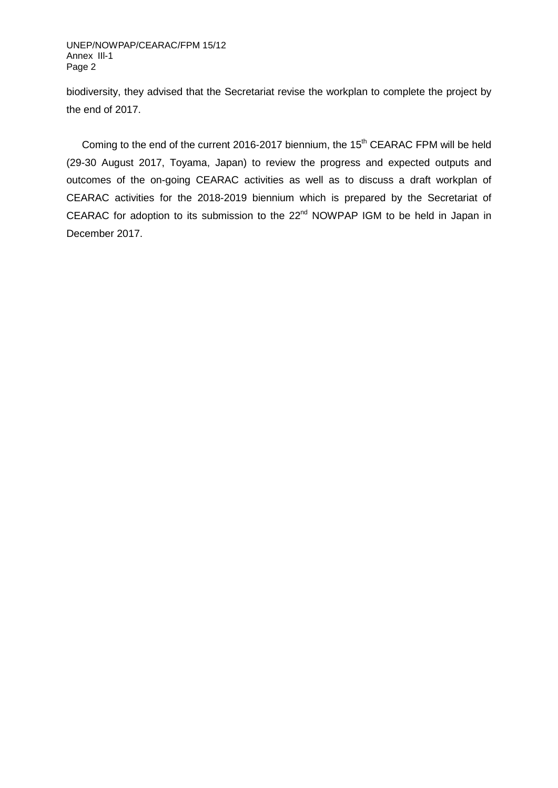UNEP/NOWPAP/CEARAC/FPM 15/12 Annex IIl-1 Page 2

biodiversity, they advised that the Secretariat revise the workplan to complete the project by the end of 2017.

Coming to the end of the current 2016-2017 biennium, the 15<sup>th</sup> CEARAC FPM will be held (29-30 August 2017, Toyama, Japan) to review the progress and expected outputs and outcomes of the on-going CEARAC activities as well as to discuss a draft workplan of CEARAC activities for the 2018-2019 biennium which is prepared by the Secretariat of CEARAC for adoption to its submission to the 22<sup>nd</sup> NOWPAP IGM to be held in Japan in December 2017.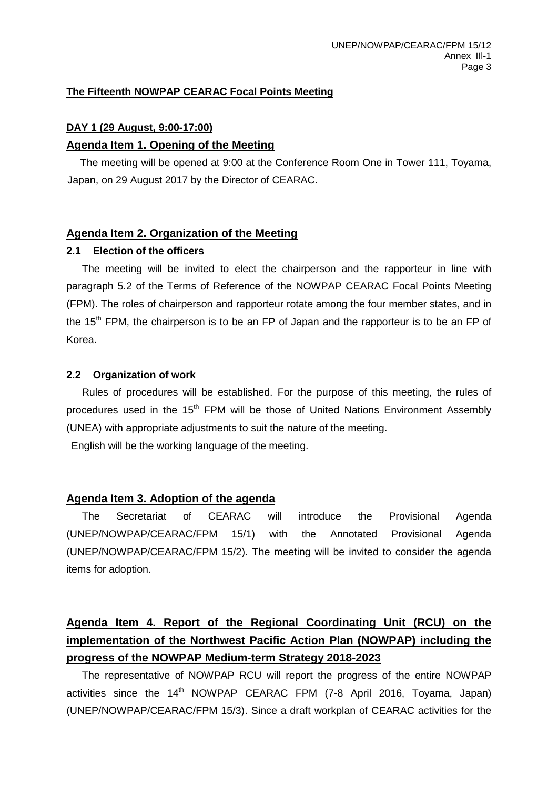### **The Fifteenth NOWPAP CEARAC Focal Points Meeting**

## **DAY 1 (29 August, 9:00-17:00)**

### **Agenda Item 1. Opening of the Meeting**

The meeting will be opened at 9:00 at the Conference Room One in Tower 111, Toyama, Japan, on 29 August 2017 by the Director of CEARAC.

### **Agenda Item 2. Organization of the Meeting**

### **2.1 Election of the officers**

The meeting will be invited to elect the chairperson and the rapporteur in line with paragraph 5.2 of the Terms of Reference of the NOWPAP CEARAC Focal Points Meeting (FPM). The roles of chairperson and rapporteur rotate among the four member states, and in the  $15<sup>th</sup>$  FPM, the chairperson is to be an FP of Japan and the rapporteur is to be an FP of Korea.

#### **2.2 Organization of work**

Rules of procedures will be established. For the purpose of this meeting, the rules of procedures used in the 15<sup>th</sup> FPM will be those of United Nations Environment Assembly (UNEA) with appropriate adjustments to suit the nature of the meeting.

English will be the working language of the meeting.

### **Agenda Item 3. Adoption of the agenda**

The Secretariat of CEARAC will introduce the Provisional Agenda (UNEP/NOWPAP/CEARAC/FPM 15/1) with the Annotated Provisional Agenda (UNEP/NOWPAP/CEARAC/FPM 15/2). The meeting will be invited to consider the agenda items for adoption.

# **Agenda Item 4. Report of the Regional Coordinating Unit (RCU) on the implementation of the Northwest Pacific Action Plan (NOWPAP) including the progress of the NOWPAP Medium-term Strategy 2018-2023**

The representative of NOWPAP RCU will report the progress of the entire NOWPAP activities since the  $14<sup>th</sup>$  NOWPAP CEARAC FPM (7-8 April 2016, Toyama, Japan) (UNEP/NOWPAP/CEARAC/FPM 15/3). Since a draft workplan of CEARAC activities for the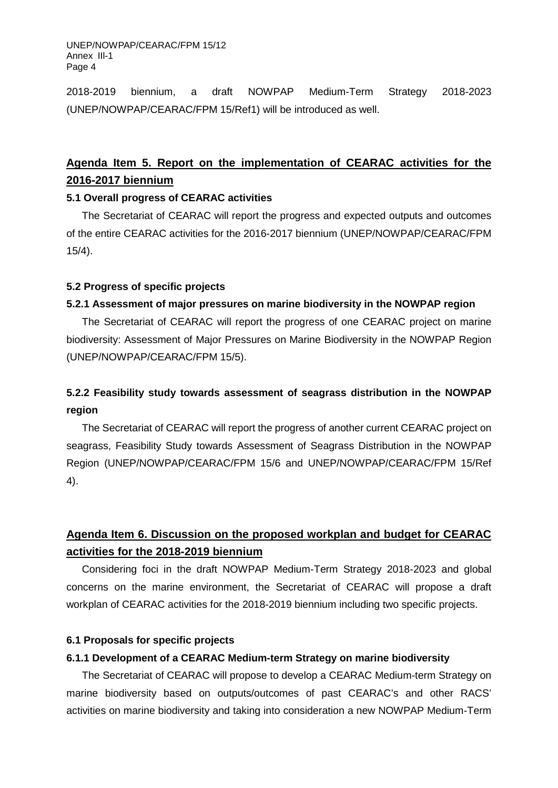2018-2019 biennium, a draft NOWPAP Medium-Term Strategy 2018-2023 (UNEP/NOWPAP/CEARAC/FPM 15/Ref1) will be introduced as well.

# **Agenda Item 5. Report on the implementation of CEARAC activities for the 2016-2017 biennium**

### **5.1 Overall progress of CEARAC activities**

The Secretariat of CEARAC will report the progress and expected outputs and outcomes of the entire CEARAC activities for the 2016-2017 biennium (UNEP/NOWPAP/CEARAC/FPM 15/4).

## **5.2 Progress of specific projects**

## **5.2.1 Assessment of major pressures on marine biodiversity in the NOWPAP region**

The Secretariat of CEARAC will report the progress of one CEARAC project on marine biodiversity: Assessment of Major Pressures on Marine Biodiversity in the NOWPAP Region (UNEP/NOWPAP/CEARAC/FPM 15/5).

# **5.2.2 Feasibility study towards assessment of seagrass distribution in the NOWPAP region**

The Secretariat of CEARAC will report the progress of another current CEARAC project on seagrass, Feasibility Study towards Assessment of Seagrass Distribution in the NOWPAP Region (UNEP/NOWPAP/CEARAC/FPM 15/6 and UNEP/NOWPAP/CEARAC/FPM 15/Ref 4).

# **Agenda Item 6. Discussion on the proposed workplan and budget for CEARAC activities for the 2018-2019 biennium**

Considering foci in the draft NOWPAP Medium-Term Strategy 2018-2023 and global concerns on the marine environment, the Secretariat of CEARAC will propose a draft workplan of CEARAC activities for the 2018-2019 biennium including two specific projects.

## **6.1 Proposals for specific projects**

## **6.1.1 Development of a CEARAC Medium-term Strategy on marine biodiversity**

The Secretariat of CEARAC will propose to develop a CEARAC Medium-term Strategy on marine biodiversity based on outputs/outcomes of past CEARAC's and other RACS' activities on marine biodiversity and taking into consideration a new NOWPAP Medium-Term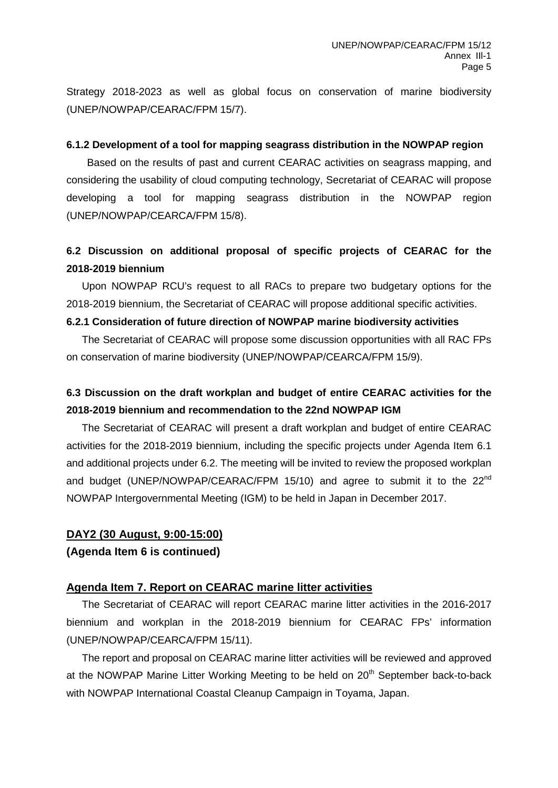Strategy 2018-2023 as well as global focus on conservation of marine biodiversity (UNEP/NOWPAP/CEARAC/FPM 15/7).

#### **6.1.2 Development of a tool for mapping seagrass distribution in the NOWPAP region**

 Based on the results of past and current CEARAC activities on seagrass mapping, and considering the usability of cloud computing technology, Secretariat of CEARAC will propose developing a tool for mapping seagrass distribution in the NOWPAP region (UNEP/NOWPAP/CEARCA/FPM 15/8).

# **6.2 Discussion on additional proposal of specific projects of CEARAC for the 2018-2019 biennium**

Upon NOWPAP RCU's request to all RACs to prepare two budgetary options for the 2018-2019 biennium, the Secretariat of CEARAC will propose additional specific activities.

### **6.2.1 Consideration of future direction of NOWPAP marine biodiversity activities**

The Secretariat of CEARAC will propose some discussion opportunities with all RAC FPs on conservation of marine biodiversity (UNEP/NOWPAP/CEARCA/FPM 15/9).

# **6.3 Discussion on the draft workplan and budget of entire CEARAC activities for the 2018-2019 biennium and recommendation to the 22nd NOWPAP IGM**

The Secretariat of CEARAC will present a draft workplan and budget of entire CEARAC activities for the 2018-2019 biennium, including the specific projects under Agenda Item 6.1 and additional projects under 6.2. The meeting will be invited to review the proposed workplan and budget (UNEP/NOWPAP/CEARAC/FPM 15/10) and agree to submit it to the 22<sup>nd</sup> NOWPAP Intergovernmental Meeting (IGM) to be held in Japan in December 2017.

### **DAY2 (30 August, 9:00-15:00)**

### **(Agenda Item 6 is continued)**

## **Agenda Item 7. Report on CEARAC marine litter activities**

The Secretariat of CEARAC will report CEARAC marine litter activities in the 2016-2017 biennium and workplan in the 2018-2019 biennium for CEARAC FPs' information (UNEP/NOWPAP/CEARCA/FPM 15/11).

The report and proposal on CEARAC marine litter activities will be reviewed and approved at the NOWPAP Marine Litter Working Meeting to be held on 20<sup>th</sup> September back-to-back with NOWPAP International Coastal Cleanup Campaign in Toyama, Japan.